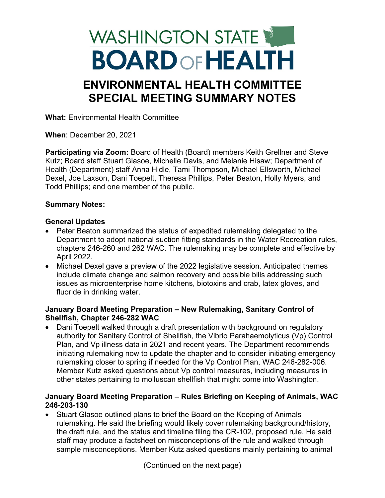# WASHINGTON STATE **BOARD OF HEALTH**

# **ENVIRONMENTAL HEALTH COMMITTEE SPECIAL MEETING SUMMARY NOTES**

**What:** Environmental Health Committee

**When**: December 20, 2021

**Participating via Zoom:** Board of Health (Board) members Keith Grellner and Steve Kutz; Board staff Stuart Glasoe, Michelle Davis, and Melanie Hisaw; Department of Health (Department) staff Anna Hidle, Tami Thompson, Michael Ellsworth, Michael Dexel, Joe Laxson, Dani Toepelt, Theresa Phillips, Peter Beaton, Holly Myers, and Todd Phillips; and one member of the public.

## **Summary Notes:**

#### **General Updates**

- Peter Beaton summarized the status of expedited rulemaking delegated to the Department to adopt national suction fitting standards in the Water Recreation rules, chapters 246-260 and 262 WAC. The rulemaking may be complete and effective by April 2022.
- Michael Dexel gave a preview of the 2022 legislative session. Anticipated themes include climate change and salmon recovery and possible bills addressing such issues as microenterprise home kitchens, biotoxins and crab, latex gloves, and fluoride in drinking water.

#### **January Board Meeting Preparation – New Rulemaking, Sanitary Control of Shellfish, Chapter 246-282 WAC**

• Dani Toepelt walked through a draft presentation with background on regulatory authority for Sanitary Control of Shellfish, the Vibrio Parahaemolyticus (Vp) Control Plan, and Vp illness data in 2021 and recent years. The Department recommends initiating rulemaking now to update the chapter and to consider initiating emergency rulemaking closer to spring if needed for the Vp Control Plan, WAC 246-282-006. Member Kutz asked questions about Vp control measures, including measures in other states pertaining to molluscan shellfish that might come into Washington.

#### **January Board Meeting Preparation – Rules Briefing on Keeping of Animals, WAC 246-203-130**

• Stuart Glasoe outlined plans to brief the Board on the Keeping of Animals rulemaking. He said the briefing would likely cover rulemaking background/history, the draft rule, and the status and timeline filing the CR-102, proposed rule. He said staff may produce a factsheet on misconceptions of the rule and walked through sample misconceptions. Member Kutz asked questions mainly pertaining to animal